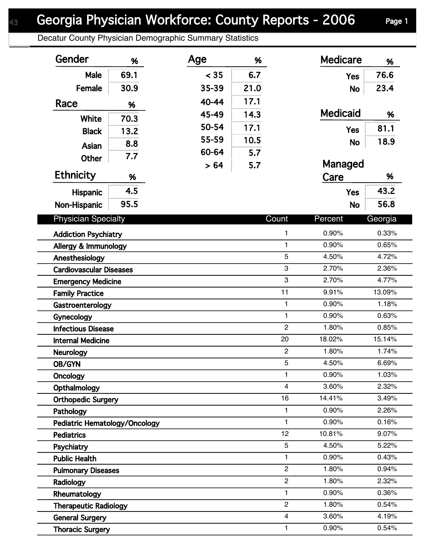Decatur County Physician Demographic Summary Statistics

| Gender                         | %    | Age   | %    |                   | <b>Medicare</b> | %              |
|--------------------------------|------|-------|------|-------------------|-----------------|----------------|
| <b>Male</b>                    | 69.1 | < 35  | 6.7  |                   | <b>Yes</b>      | 76.6           |
| Female                         | 30.9 | 35-39 | 21.0 |                   | <b>No</b>       | 23.4           |
| Race                           | %    | 40-44 | 17.1 |                   |                 |                |
|                                |      | 45-49 | 14.3 |                   | <b>Medicaid</b> | %              |
| White                          | 70.3 | 50-54 | 17.1 |                   |                 | 81.1           |
| <b>Black</b>                   | 13.2 | 55-59 | 10.5 |                   | <b>Yes</b>      |                |
| Asian                          | 8.8  | 60-64 | 5.7  |                   | <b>No</b>       | 18.9           |
| <b>Other</b>                   | 7.7  | > 64  | 5.7  |                   | Managed         |                |
| Ethnicity                      | %    |       |      |                   | Care            | %              |
| Hispanic                       | 4.5  |       |      |                   | <b>Yes</b>      | 43.2           |
| Non-Hispanic                   | 95.5 |       |      |                   | <b>No</b>       | 56.8           |
| <b>Physician Specialty</b>     |      |       |      | Count             | Percent         | Georgia        |
|                                |      |       |      |                   |                 |                |
| <b>Addiction Psychiatry</b>    |      |       |      | $\mathbf{1}$      | 0.90%           | 0.33%          |
| Allergy & Immunology           |      |       |      | $\mathbf{1}$      | 0.90%           | 0.65%          |
| Anesthesiology                 |      |       |      | 5                 | 4.50%           | 4.72%          |
| <b>Cardiovascular Diseases</b> |      |       |      | 3                 | 2.70%           | 2.36%          |
| <b>Emergency Medicine</b>      |      |       |      | 3                 | 2.70%           | 4.77%          |
| <b>Family Practice</b>         |      |       |      | 11                | 9.91%           | 13.09%         |
| Gastroenterology               |      |       |      | $\mathbf{1}$      | 0.90%           | 1.18%          |
| Gynecology                     |      |       |      | $\mathbf{1}$      | 0.90%           | 0.63%          |
| <b>Infectious Disease</b>      |      |       |      | $\overline{2}$    | 1.80%           | 0.85%          |
| <b>Internal Medicine</b>       |      |       |      | 20                | 18.02%          | 15.14%         |
| <b>Neurology</b>               |      |       |      | $\overline{c}$    | 1.80%           | 1.74%          |
| OB/GYN                         |      |       |      | 5                 | 4.50%           | 6.69%          |
| Oncology                       |      |       |      | $\mathbf{1}$      | 0.90%           | 1.03%          |
| Opthalmology                   |      |       |      | 4                 | 3.60%           | 2.32%          |
| <b>Orthopedic Surgery</b>      |      |       |      | 16                | 14.41%<br>0.90% | 3.49%          |
| Pathology                      |      |       |      | 1<br>$\mathbf{1}$ | 0.90%           | 2.26%          |
| Pediatric Hematology/Oncology  |      |       |      | 12                | 10.81%          | 0.16%<br>9.07% |
| <b>Pediatrics</b>              |      |       |      | 5                 | 4.50%           | 5.22%          |
| Psychiatry                     |      |       |      | $\mathbf{1}$      | 0.90%           |                |
| <b>Public Health</b>           |      |       |      | $\mathbf{2}$      | 1.80%           | 0.43%<br>0.94% |
| <b>Pulmonary Diseases</b>      |      |       |      | $\overline{c}$    |                 |                |
| Radiology                      |      |       |      | $\mathbf{1}$      | 1.80%<br>0.90%  | 2.32%<br>0.36% |
| Rheumatology                   |      |       |      | $\overline{c}$    |                 |                |
| <b>Therapeutic Radiology</b>   |      |       |      |                   | 1.80%           | 0.54%          |
| <b>General Surgery</b>         |      |       |      | $\overline{4}$    | 3.60%           | 4.19%          |
| <b>Thoracic Surgery</b>        |      |       |      | 1                 | 0.90%           | 0.54%          |